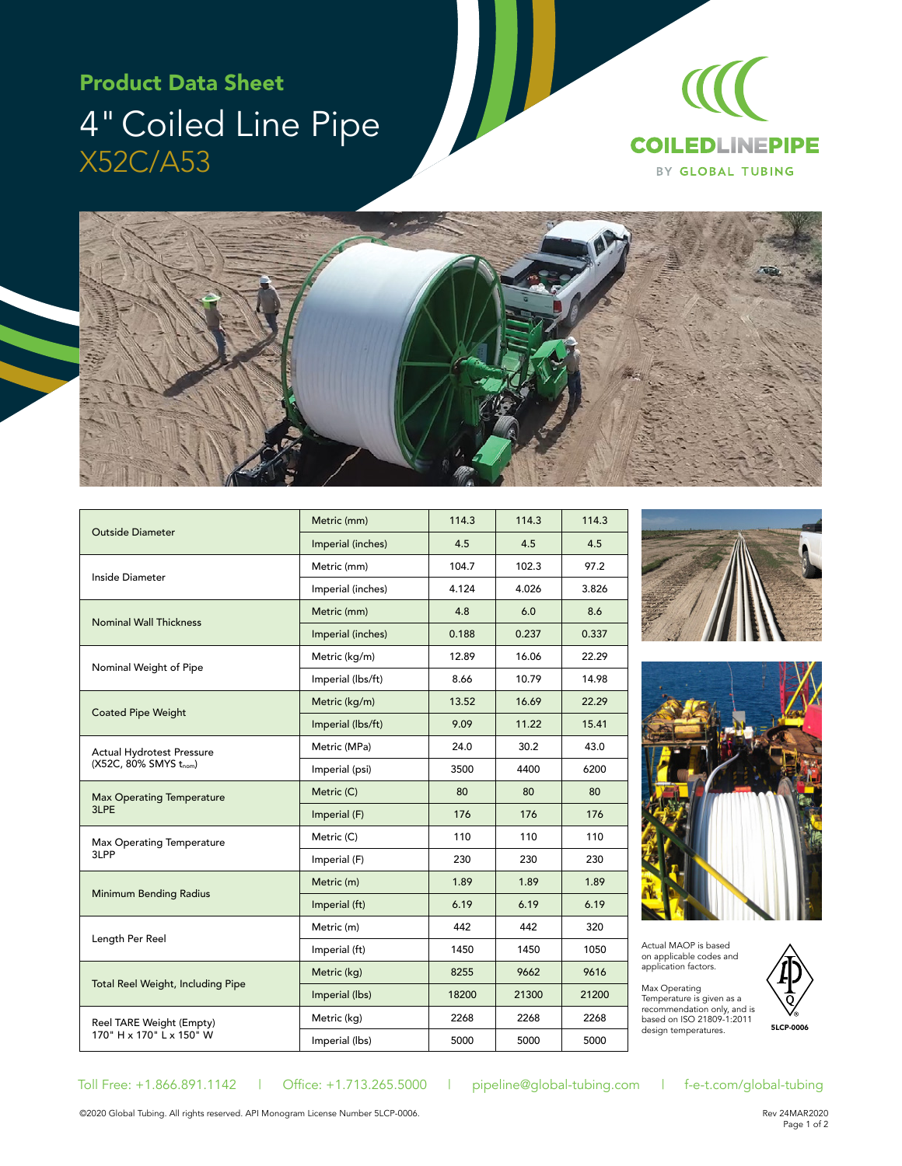## Product Data Sheet 4" Coiled Line Pipe X52C/A53





| <b>Outside Diameter</b>                                   | Metric (mm)       | 114.3 | 114.3 | 114.3 |
|-----------------------------------------------------------|-------------------|-------|-------|-------|
|                                                           | Imperial (inches) | 4.5   | 4.5   | 4.5   |
| Inside Diameter                                           | Metric (mm)       | 104.7 | 102.3 | 97.2  |
|                                                           | Imperial (inches) | 4.124 | 4.026 | 3.826 |
| <b>Nominal Wall Thickness</b>                             | Metric (mm)       | 4.8   | 6.0   | 8.6   |
|                                                           | Imperial (inches) | 0.188 | 0.237 | 0.337 |
| Nominal Weight of Pipe                                    | Metric (kg/m)     | 12.89 | 16.06 | 22.29 |
|                                                           | Imperial (lbs/ft) | 8.66  | 10.79 | 14.98 |
| <b>Coated Pipe Weight</b>                                 | Metric (kg/m)     | 13.52 | 16.69 | 22.29 |
|                                                           | Imperial (lbs/ft) | 9.09  | 11.22 | 15.41 |
| <b>Actual Hydrotest Pressure</b><br>(X52C, 80% SMYS tnom) | Metric (MPa)      | 24.0  | 30.2  | 43.0  |
|                                                           | Imperial (psi)    | 3500  | 4400  | 6200  |
| <b>Max Operating Temperature</b><br>3LPE                  | Metric (C)        | 80    | 80    | 80    |
|                                                           | Imperial (F)      | 176   | 176   | 176   |
| Max Operating Temperature<br>3LPP                         | Metric (C)        | 110   | 110   | 110   |
|                                                           | Imperial (F)      | 230   | 230   | 230   |
| <b>Minimum Bending Radius</b>                             | Metric (m)        | 1.89  | 1.89  | 1.89  |
|                                                           | Imperial (ft)     | 6.19  | 6.19  | 6.19  |
| Length Per Reel                                           | Metric (m)        | 442   | 442   | 320   |
|                                                           | Imperial (ft)     | 1450  | 1450  | 1050  |
| <b>Total Reel Weight, Including Pipe</b>                  | Metric (kg)       | 8255  | 9662  | 9616  |
|                                                           | Imperial (lbs)    | 18200 | 21300 | 21200 |
| Reel TARE Weight (Empty)<br>170" H x 170" L x 150" W      | Metric (kg)       | 2268  | 2268  | 2268  |
|                                                           | Imperial (lbs)    | 5000  | 5000  | 5000  |





Actual MAOP is based on applicable codes and application factors.

Max Operating<br>Temperature is given as a recommendation only, and is based on ISO 21809-1:2011 design temperatures.



Toll Free: +1.866.891.1142 | Office: +1.713.265.5000 | pipeline@global-tubing.com | f-e-t.com/global-tubing

©2020 Global Tubing. All rights reserved. API Monogram License Number 5LCP-0006.